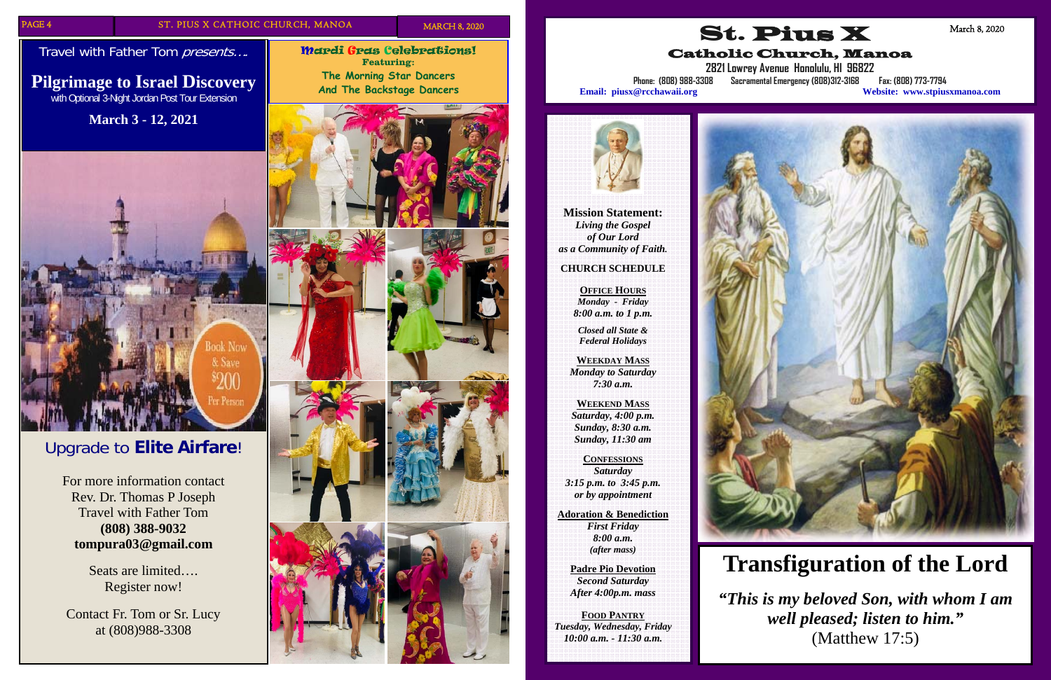Travel with Father Tom presents....

Mardi Gras Celebrations! **Featuring: The Morning Star Dancers And The Backstage Dancers** 



# Upgrade to **Elite Airfare**!

For more information contact Rev. Dr. Thomas P Joseph Travel with Father Tom **(808) 388-9032 tompura03@gmail.com** 

> Seats are limited…. Register now!

Contact Fr. Tom or Sr. Lucy at (808)988-3308

### **Pilgrimage to Israel Discovery**  with Optional 3-Night Jordan Post Tour Extension

**March 3 - 12, 2021** 



**Mission Statement:**  *Living the Gospel of Our Lord as a Community of Faith.* 

#### **CHURCH SCHEDULE**

**OFFICE HOURS** *Monday - Friday 8:00 a.m. to 1 p.m.* 

*Closed all State & Federal Holidays* 

**WEEKDAY MASS** *Monday to Saturday 7:30 a.m.* 

**WEEKEND MASS** *Saturday, 4:00 p.m. Sunday, 8:30 a.m. Sunday, 11:30 am* 

**CONFESSIONS***Saturday 3:15 p.m. to 3:45 p.m. or by appointment* 

**Adoration & Benediction**  *First Friday 8:00 a.m. (after mass)* 

**Padre Pio Devotion**  *Second Saturday After 4:00p.m. mass* 

**FOOD PANTRY** *Tuesday, Wednesday, Friday 10:00 a.m. - 11:30 a.m.* 





Catholic Church, Manoa



**2821 Lowrey Avenue Honolulu, HI 96822** 

**Phone: (808) 988-3308 Sacramental Emergency (808)312-3168 Fax: (808) 773-7794 Email: piusx@rcchawaii.org Website: www.stpiusxmanoa.com**

March 8, 2020

# **Transfiguration of the Lord**

*"This is my beloved Son, with whom I am well pleased; listen to him."*  (Matthew 17:5)